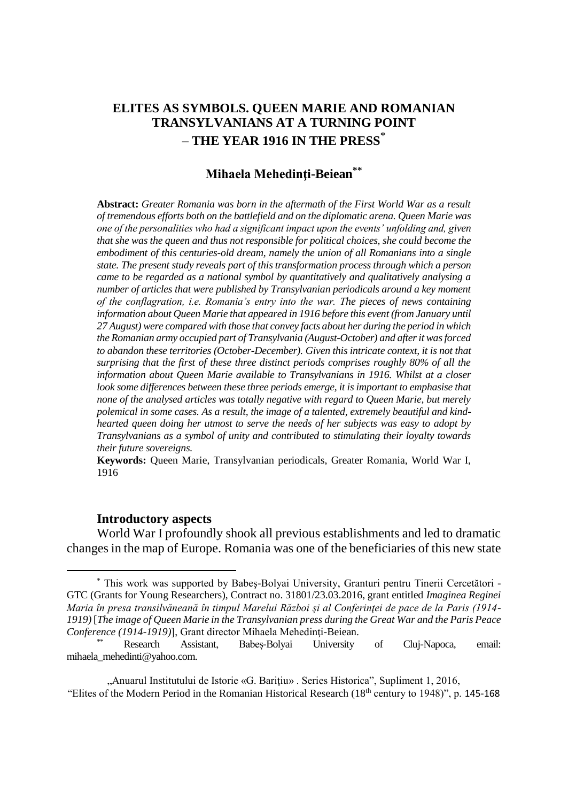# **ELITES AS SYMBOLS. QUEEN MARIE AND ROMANIAN TRANSYLVANIANS AT A TURNING POINT – THE YEAR 1916 IN THE PRESS**\*

## **Mihaela Mehedinţi-Beiean\*\***

**Abstract:** *Greater Romania was born in the aftermath of the First World War as a result of tremendous efforts both on the battlefield and on the diplomatic arena. Queen Marie was one of the personalities who had a significant impact upon the events' unfolding and, given that she was the queen and thus not responsible for political choices, she could become the embodiment of this centuries-old dream, namely the union of all Romanians into a single state. The present study reveals part of this transformation process through which a person came to be regarded as a national symbol by quantitatively and qualitatively analysing a number of articles that were published by Transylvanian periodicals around a key moment of the conflagration, i.e. Romania's entry into the war. The pieces of news containing information about Queen Marie that appeared in 1916 before this event (from January until 27 August) were compared with those that convey facts about her during the period in which the Romanian army occupied part of Transylvania (August-October) and after it was forced to abandon these territories (October-December). Given this intricate context, it is not that surprising that the first of these three distinct periods comprises roughly 80% of all the information about Queen Marie available to Transylvanians in 1916. Whilst at a closer look some differences between these three periods emerge, it is important to emphasise that none of the analysed articles was totally negative with regard to Queen Marie, but merely polemical in some cases. As a result, the image of a talented, extremely beautiful and kindhearted queen doing her utmost to serve the needs of her subjects was easy to adopt by Transylvanians as a symbol of unity and contributed to stimulating their loyalty towards their future sovereigns.*

**Keywords:** Queen Marie, Transylvanian periodicals, Greater Romania, World War I, 1916

#### **Introductory aspects**

 $\overline{a}$ 

World War I profoundly shook all previous establishments and led to dramatic changes in the map of Europe. Romania was one of the beneficiaries of this new state

<sup>\*</sup> This work was supported by Babeş-Bolyai University, Granturi pentru Tinerii Cercetători - GTC (Grants for Young Researchers), Contract no. 31801/23.03.2016, grant entitled *Imaginea Reginei Maria în presa transilvăneană în timpul Marelui Război şi al Conferinţei de pace de la Paris (1914- 1919)* [*The image of Queen Marie in the Transylvanian press during the Great War and the Paris Peace Conference (1914-1919)*], Grant director Mihaela Mehedinţi-Beiean.

<sup>\*\*</sup> Research Assistant, Babeș-Bolyai University of Cluj-Napoca, email: mihaela\_mehedinti@yahoo.com.

<sup>&</sup>quot;Anuarul Institutului de Istorie «G. Bariţiu» . Series Historica", Supliment 1, 2016, "Elites of the Modern Period in the Romanian Historical Research (18th century to 1948)", p. 145-168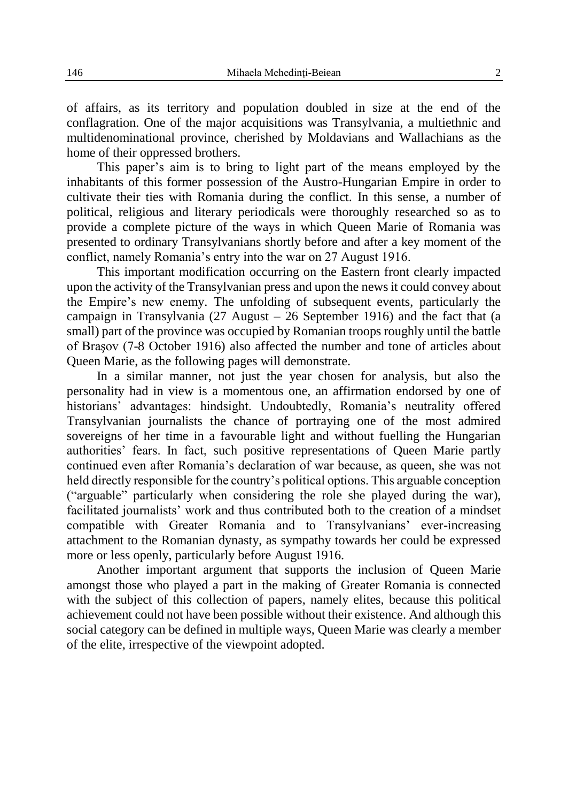of affairs, as its territory and population doubled in size at the end of the conflagration. One of the major acquisitions was Transylvania, a multiethnic and multidenominational province, cherished by Moldavians and Wallachians as the home of their oppressed brothers.

This paper's aim is to bring to light part of the means employed by the inhabitants of this former possession of the Austro-Hungarian Empire in order to cultivate their ties with Romania during the conflict. In this sense, a number of political, religious and literary periodicals were thoroughly researched so as to provide a complete picture of the ways in which Queen Marie of Romania was presented to ordinary Transylvanians shortly before and after a key moment of the conflict, namely Romania's entry into the war on 27 August 1916.

This important modification occurring on the Eastern front clearly impacted upon the activity of the Transylvanian press and upon the news it could convey about the Empire's new enemy. The unfolding of subsequent events, particularly the campaign in Transylvania  $(27 \text{ August} - 26 \text{ September } 1916)$  and the fact that (a small) part of the province was occupied by Romanian troops roughly until the battle of Braşov (7-8 October 1916) also affected the number and tone of articles about Queen Marie, as the following pages will demonstrate.

In a similar manner, not just the year chosen for analysis, but also the personality had in view is a momentous one, an affirmation endorsed by one of historians' advantages: hindsight. Undoubtedly, Romania's neutrality offered Transylvanian journalists the chance of portraying one of the most admired sovereigns of her time in a favourable light and without fuelling the Hungarian authorities' fears. In fact, such positive representations of Queen Marie partly continued even after Romania's declaration of war because, as queen, she was not held directly responsible for the country's political options. This arguable conception ("arguable" particularly when considering the role she played during the war), facilitated journalists' work and thus contributed both to the creation of a mindset compatible with Greater Romania and to Transylvanians' ever-increasing attachment to the Romanian dynasty, as sympathy towards her could be expressed more or less openly, particularly before August 1916.

Another important argument that supports the inclusion of Queen Marie amongst those who played a part in the making of Greater Romania is connected with the subject of this collection of papers, namely elites, because this political achievement could not have been possible without their existence. And although this social category can be defined in multiple ways, Queen Marie was clearly a member of the elite, irrespective of the viewpoint adopted.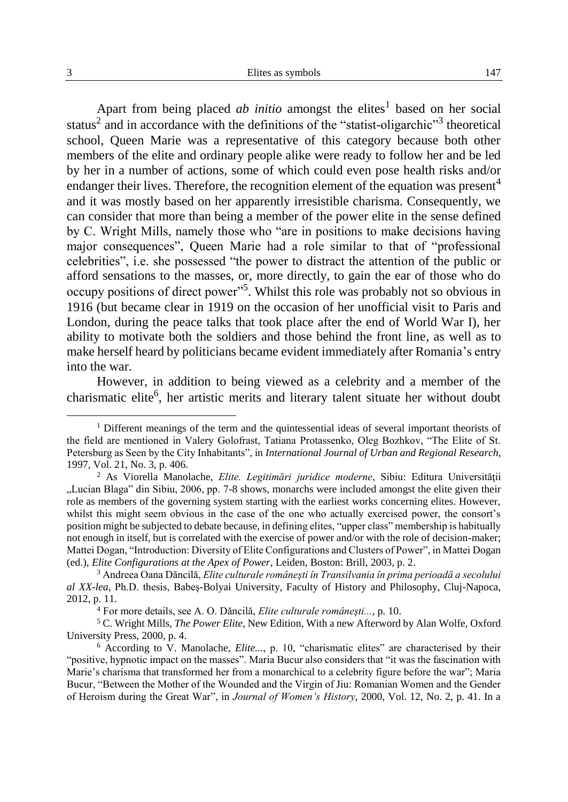Apart from being placed *ab initio* amongst the elites<sup>1</sup> based on her social status<sup>2</sup> and in accordance with the definitions of the "statist-oligarchic"<sup>3</sup> theoretical school, Queen Marie was a representative of this category because both other members of the elite and ordinary people alike were ready to follow her and be led by her in a number of actions, some of which could even pose health risks and/or endanger their lives. Therefore, the recognition element of the equation was present<sup>4</sup> and it was mostly based on her apparently irresistible charisma. Consequently, we can consider that more than being a member of the power elite in the sense defined by C. Wright Mills, namely those who "are in positions to make decisions having major consequences", Queen Marie had a role similar to that of "professional celebrities", i.e. she possessed "the power to distract the attention of the public or afford sensations to the masses, or, more directly, to gain the ear of those who do occupy positions of direct power"<sup>5</sup>. Whilst this role was probably not so obvious in 1916 (but became clear in 1919 on the occasion of her unofficial visit to Paris and London, during the peace talks that took place after the end of World War I), her ability to motivate both the soldiers and those behind the front line, as well as to make herself heard by politicians became evident immediately after Romania's entry into the war.

However, in addition to being viewed as a celebrity and a member of the charismatic elite<sup>6</sup>, her artistic merits and literary talent situate her without doubt

 $<sup>1</sup>$  Different meanings of the term and the quintessential ideas of several important theorists of</sup> the field are mentioned in Valery Golofrast, Tatiana Protassenko, Oleg Bozhkov, "The Elite of St. Petersburg as Seen by the City Inhabitants", in *International Journal of Urban and Regional Research*, 1997, Vol. 21, No. 3, p. 406.

<sup>2</sup> As Viorella Manolache, *Elite. Legitimări juridice moderne*, Sibiu: Editura Universităţii "Lucian Blaga" din Sibiu, 2006, pp. 7-8 shows, monarchs were included amongst the elite given their role as members of the governing system starting with the earliest works concerning elites. However, whilst this might seem obvious in the case of the one who actually exercised power, the consort's position might be subjected to debate because, in defining elites, "upper class" membership is habitually not enough in itself, but is correlated with the exercise of power and/or with the role of decision-maker; Mattei Dogan, "Introduction: Diversity of Elite Configurations and Clusters of Power", in Mattei Dogan (ed.), *Elite Configurations at the Apex of Power*, Leiden, Boston: Brill, 2003, p. 2.

<sup>3</sup> Andreea Oana Dăncilă, *Elite culturale româneşti în Transilvania în prima perioadă a secolului al XX-lea*, Ph.D. thesis, Babeş-Bolyai University, Faculty of History and Philosophy, Cluj-Napoca, 2012, p. 11.

<sup>4</sup> For more details, see A. O. Dăncilă, *Elite culturale româneşti...*, p. 10.

<sup>5</sup> C. Wright Mills, *The Power Elite*, New Edition, With a new Afterword by Alan Wolfe, Oxford University Press, 2000, p. 4.

 $6$  According to  $\overline{V}$ . Manolache, *Elite...*, p. 10, "charismatic elites" are characterised by their "positive, hypnotic impact on the masses". Maria Bucur also considers that "it was the fascination with Marie's charisma that transformed her from a monarchical to a celebrity figure before the war"; Maria Bucur, "Between the Mother of the Wounded and the Virgin of Jiu: Romanian Women and the Gender of Heroism during the Great War", in *Journal of Women's History*, 2000, Vol. 12, No. 2, p. 41. In a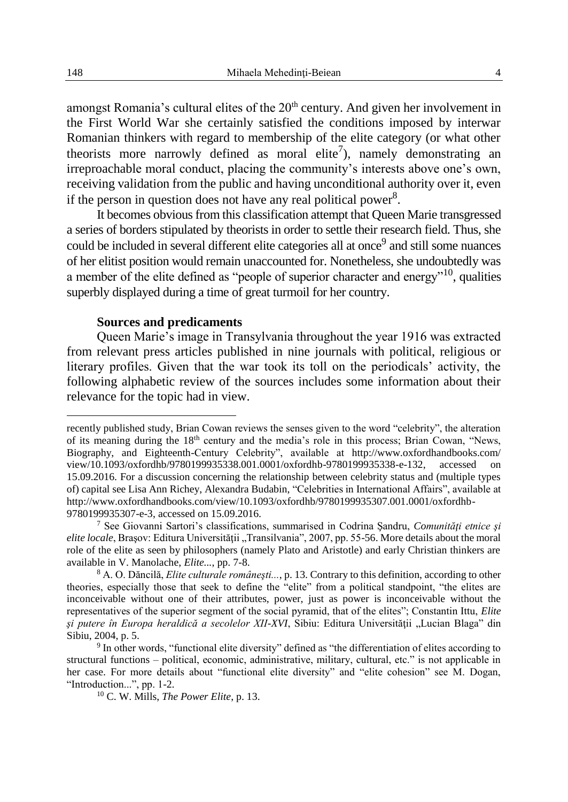amongst Romania's cultural elites of the  $20<sup>th</sup>$  century. And given her involvement in the First World War she certainly satisfied the conditions imposed by interwar Romanian thinkers with regard to membership of the elite category (or what other theorists more narrowly defined as moral elite<sup>7</sup>), namely demonstrating an irreproachable moral conduct, placing the community's interests above one's own, receiving validation from the public and having unconditional authority over it, even if the person in question does not have any real political power<sup>8</sup>.

It becomes obvious from this classification attempt that Queen Marie transgressed a series of borders stipulated by theorists in order to settle their research field. Thus, she could be included in several different elite categories all at once<sup>9</sup> and still some nuances of her elitist position would remain unaccounted for. Nonetheless, she undoubtedly was a member of the elite defined as "people of superior character and energy"10, qualities superbly displayed during a time of great turmoil for her country.

#### **Sources and predicaments**

Queen Marie's image in Transylvania throughout the year 1916 was extracted from relevant press articles published in nine journals with political, religious or literary profiles. Given that the war took its toll on the periodicals' activity, the following alphabetic review of the sources includes some information about their relevance for the topic had in view.

recently published study, Brian Cowan reviews the senses given to the word "celebrity", the alteration of its meaning during the  $18<sup>th</sup>$  century and the media's role in this process; Brian Cowan, "News, Biography, and Eighteenth-Century Celebrity", available at http://www.oxfordhandbooks.com/ view/10.1093/oxfordhb/9780199935338.001.0001/oxfordhb-9780199935338-e-132, accessed 15.09.2016. For a discussion concerning the relationship between celebrity status and (multiple types of) capital see Lisa Ann Richey, Alexandra Budabin, "Celebrities in International Affairs", available at http://www.oxfordhandbooks.com/view/10.1093/oxfordhb/9780199935307.001.0001/oxfordhb-9780199935307-e-3, accessed on 15.09.2016.

<sup>7</sup> See Giovanni Sartori's classifications, summarised in Codrina Şandru, *Comunităţi etnice şi elite locale*, Brașov: Editura Universității "Transilvania", 2007, pp. 55-56. More details about the moral role of the elite as seen by philosophers (namely Plato and Aristotle) and early Christian thinkers are available in V. Manolache, *Elite...*, pp. 7-8.

<sup>8</sup> A. O. Dăncilă, *Elite culturale româneşti...*, p. 13. Contrary to this definition, according to other theories, especially those that seek to define the "elite" from a political standpoint, "the elites are inconceivable without one of their attributes, power, just as power is inconceivable without the representatives of the superior segment of the social pyramid, that of the elites"; Constantin Ittu, *Elite şi putere în Europa heraldică a secolelor XII-XVI*, Sibiu: Editura Universităţii "Lucian Blaga" din Sibiu, 2004, p. 5.

<sup>&</sup>lt;sup>9</sup> In other words, "functional elite diversity" defined as "the differentiation of elites according to structural functions – political, economic, administrative, military, cultural, etc." is not applicable in her case. For more details about "functional elite diversity" and "elite cohesion" see M. Dogan, "Introduction...", pp. 1-2.

<sup>10</sup> C. W. Mills, *The Power Elite*, p. 13.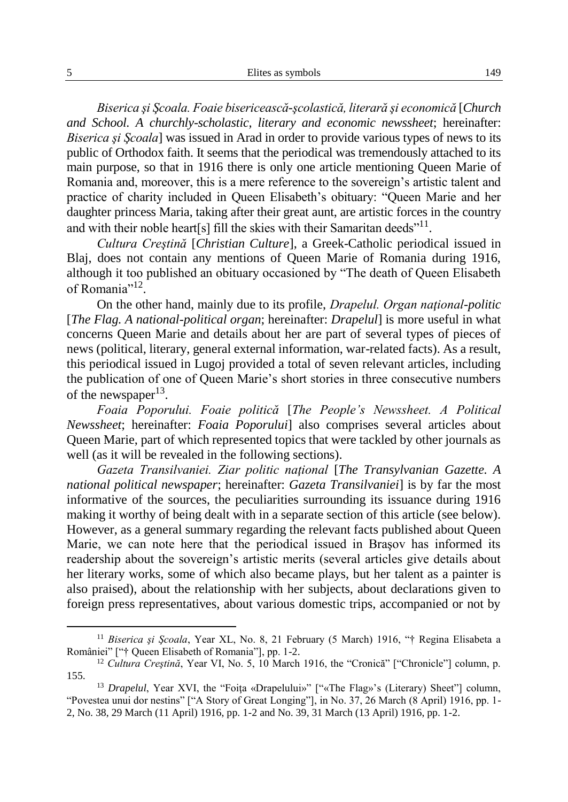*Biserica şi Şcoala. Foaie bisericească-şcolastică, literară şi economică* [*Church and School. A churchly-scholastic, literary and economic newssheet*; hereinafter: *Biserica şi Şcoala*] was issued in Arad in order to provide various types of news to its public of Orthodox faith. It seems that the periodical was tremendously attached to its main purpose, so that in 1916 there is only one article mentioning Queen Marie of Romania and, moreover, this is a mere reference to the sovereign's artistic talent and practice of charity included in Queen Elisabeth's obituary: "Queen Marie and her daughter princess Maria, taking after their great aunt, are artistic forces in the country and with their noble heart[s] fill the skies with their Samaritan deeds<sup>"11</sup>.

*Cultura Creştină* [*Christian Culture*], a Greek-Catholic periodical issued in Blaj, does not contain any mentions of Queen Marie of Romania during 1916, although it too published an obituary occasioned by "The death of Queen Elisabeth of Romania"<sup>12</sup>.

On the other hand, mainly due to its profile, *Drapelul. Organ naţional-politic* [*The Flag. A national-political organ*; hereinafter: *Drapelul*] is more useful in what concerns Queen Marie and details about her are part of several types of pieces of news (political, literary, general external information, war-related facts). As a result, this periodical issued in Lugoj provided a total of seven relevant articles, including the publication of one of Queen Marie's short stories in three consecutive numbers of the newspaper $^{13}$ .

*Foaia Poporului. Foaie politică* [*The People's Newssheet. A Political Newssheet*; hereinafter: *Foaia Poporului*] also comprises several articles about Queen Marie, part of which represented topics that were tackled by other journals as well (as it will be revealed in the following sections).

*Gazeta Transilvaniei. Ziar politic naţional* [*The Transylvanian Gazette. A national political newspaper*; hereinafter: *Gazeta Transilvaniei*] is by far the most informative of the sources, the peculiarities surrounding its issuance during 1916 making it worthy of being dealt with in a separate section of this article (see below). However, as a general summary regarding the relevant facts published about Queen Marie, we can note here that the periodical issued in Braşov has informed its readership about the sovereign's artistic merits (several articles give details about her literary works, some of which also became plays, but her talent as a painter is also praised), about the relationship with her subjects, about declarations given to foreign press representatives, about various domestic trips, accompanied or not by

<sup>&</sup>lt;sup>11</sup> Biserica și Școala, Year XL, No. 8, 21 February (5 March) 1916, "† Regina Elisabeta a României" ["† Queen Elisabeth of Romania"], pp. 1-2.

<sup>12</sup> *Cultura Creştină*, Year VI, No. 5, 10 March 1916, the "Cronică" ["Chronicle"] column, p. 155.

<sup>&</sup>lt;sup>13</sup> *Drapelul*, Year XVI, the "Foita «Drapelului»" ["«The Flag»'s (Literary) Sheet"] column, "Povestea unui dor nestins" ["A Story of Great Longing"], in No. 37, 26 March (8 April) 1916, pp. 1- 2, No. 38, 29 March (11 April) 1916, pp. 1-2 and No. 39, 31 March (13 April) 1916, pp. 1-2.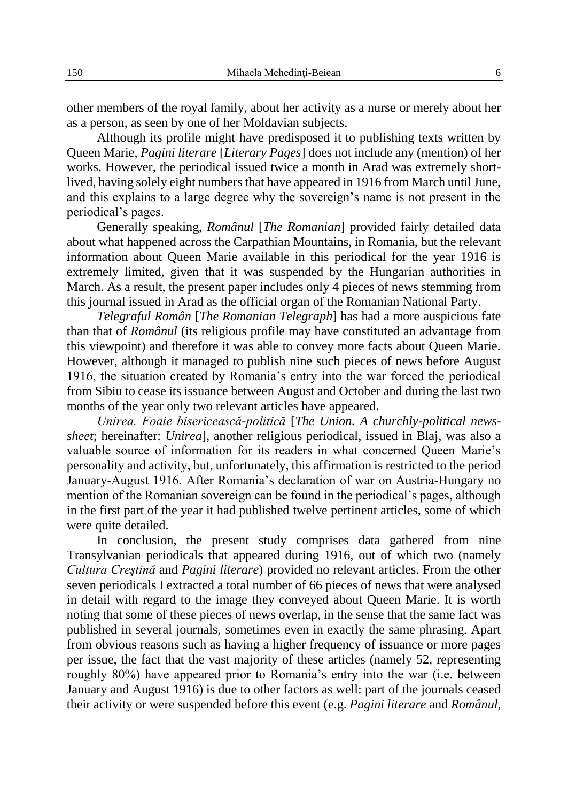other members of the royal family, about her activity as a nurse or merely about her as a person, as seen by one of her Moldavian subjects.

Although its profile might have predisposed it to publishing texts written by Queen Marie, *Pagini literare* [*Literary Pages*] does not include any (mention) of her works. However, the periodical issued twice a month in Arad was extremely shortlived, having solely eight numbers that have appeared in 1916 from March until June, and this explains to a large degree why the sovereign's name is not present in the periodical's pages.

Generally speaking, *Românul* [*The Romanian*] provided fairly detailed data about what happened across the Carpathian Mountains, in Romania, but the relevant information about Queen Marie available in this periodical for the year 1916 is extremely limited, given that it was suspended by the Hungarian authorities in March. As a result, the present paper includes only 4 pieces of news stemming from this journal issued in Arad as the official organ of the Romanian National Party.

*Telegraful Român* [*The Romanian Telegraph*] has had a more auspicious fate than that of *Românul* (its religious profile may have constituted an advantage from this viewpoint) and therefore it was able to convey more facts about Queen Marie. However, although it managed to publish nine such pieces of news before August 1916, the situation created by Romania's entry into the war forced the periodical from Sibiu to cease its issuance between August and October and during the last two months of the year only two relevant articles have appeared.

*Unirea. Foaie bisericească-politică* [*The Union. A churchly-political newssheet*; hereinafter: *Unirea*], another religious periodical, issued in Blaj, was also a valuable source of information for its readers in what concerned Queen Marie's personality and activity, but, unfortunately, this affirmation is restricted to the period January-August 1916. After Romania's declaration of war on Austria-Hungary no mention of the Romanian sovereign can be found in the periodical's pages, although in the first part of the year it had published twelve pertinent articles, some of which were quite detailed.

In conclusion, the present study comprises data gathered from nine Transylvanian periodicals that appeared during 1916, out of which two (namely *Cultura Creştină* and *Pagini literare*) provided no relevant articles. From the other seven periodicals I extracted a total number of 66 pieces of news that were analysed in detail with regard to the image they conveyed about Queen Marie. It is worth noting that some of these pieces of news overlap, in the sense that the same fact was published in several journals, sometimes even in exactly the same phrasing. Apart from obvious reasons such as having a higher frequency of issuance or more pages per issue, the fact that the vast majority of these articles (namely 52, representing roughly 80%) have appeared prior to Romania's entry into the war (i.e. between January and August 1916) is due to other factors as well: part of the journals ceased their activity or were suspended before this event (e.g. *Pagini literare* and *Românul*,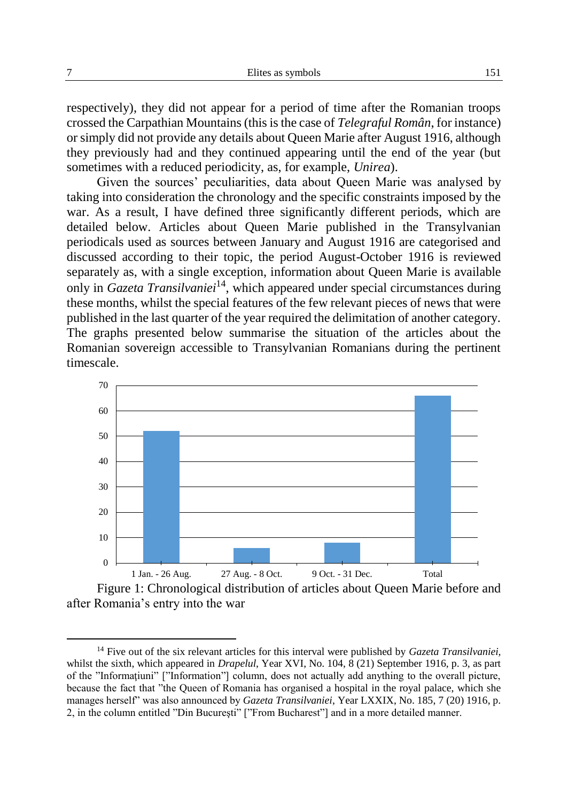respectively), they did not appear for a period of time after the Romanian troops crossed the Carpathian Mountains (this is the case of *Telegraful Român*, for instance) or simply did not provide any details about Queen Marie after August 1916, although they previously had and they continued appearing until the end of the year (but sometimes with a reduced periodicity, as, for example, *Unirea*).

Given the sources' peculiarities, data about Queen Marie was analysed by taking into consideration the chronology and the specific constraints imposed by the war. As a result, I have defined three significantly different periods, which are detailed below. Articles about Queen Marie published in the Transylvanian periodicals used as sources between January and August 1916 are categorised and discussed according to their topic, the period August-October 1916 is reviewed separately as, with a single exception, information about Queen Marie is available only in *Gazeta Transilvaniei*14, which appeared under special circumstances during these months, whilst the special features of the few relevant pieces of news that were published in the last quarter of the year required the delimitation of another category. The graphs presented below summarise the situation of the articles about the Romanian sovereign accessible to Transylvanian Romanians during the pertinent timescale.



Figure 1: Chronological distribution of articles about Queen Marie before and after Romania's entry into the war

<sup>14</sup> Five out of the six relevant articles for this interval were published by *Gazeta Transilvaniei,* whilst the sixth, which appeared in *Drapelul*, Year XVI, No. 104, 8 (21) September 1916, p. 3, as part of the "Informaţiuni" ["Information"] column, does not actually add anything to the overall picture, because the fact that "the Queen of Romania has organised a hospital in the royal palace, which she manages herself" was also announced by *Gazeta Transilvaniei*, Year LXXIX, No. 185, 7 (20) 1916, p. 2, in the column entitled "Din Bucureşti" ["From Bucharest"] and in a more detailed manner.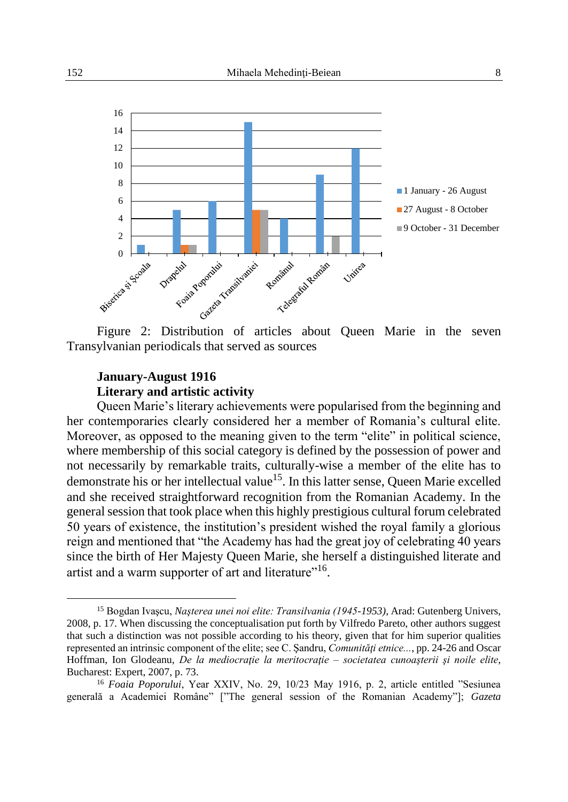

Figure 2: Distribution of articles about Queen Marie in the seven Transylvanian periodicals that served as sources

# **January-August 1916 Literary and artistic activity**

Queen Marie's literary achievements were popularised from the beginning and her contemporaries clearly considered her a member of Romania's cultural elite. Moreover, as opposed to the meaning given to the term "elite" in political science, where membership of this social category is defined by the possession of power and not necessarily by remarkable traits, culturally-wise a member of the elite has to demonstrate his or her intellectual value<sup>15</sup>. In this latter sense, Queen Marie excelled and she received straightforward recognition from the Romanian Academy. In the general session that took place when this highly prestigious cultural forum celebrated 50 years of existence, the institution's president wished the royal family a glorious reign and mentioned that "the Academy has had the great joy of celebrating 40 years since the birth of Her Majesty Queen Marie, she herself a distinguished literate and artist and a warm supporter of art and literature"<sup>16</sup>.

<sup>15</sup> Bogdan Ivaşcu, *Naşterea unei noi elite: Transilvania (1945-1953)*, Arad: Gutenberg Univers, 2008, p. 17. When discussing the conceptualisation put forth by Vilfredo Pareto, other authors suggest that such a distinction was not possible according to his theory, given that for him superior qualities represented an intrinsic component of the elite; see C. Şandru, *Comunităţi etnice...*, pp. 24-26 and Oscar Hoffman, Ion Glodeanu, *De la mediocraţie la meritocraţie – societatea cunoaşterii şi noile elite*, Bucharest: Expert, 2007, p. 73.

<sup>16</sup> *Foaia Poporului*, Year XXIV, No. 29, 10/23 May 1916, p. 2, article entitled "Sesiunea generală a Academiei Române" ["The general session of the Romanian Academy"]; *Gazeta*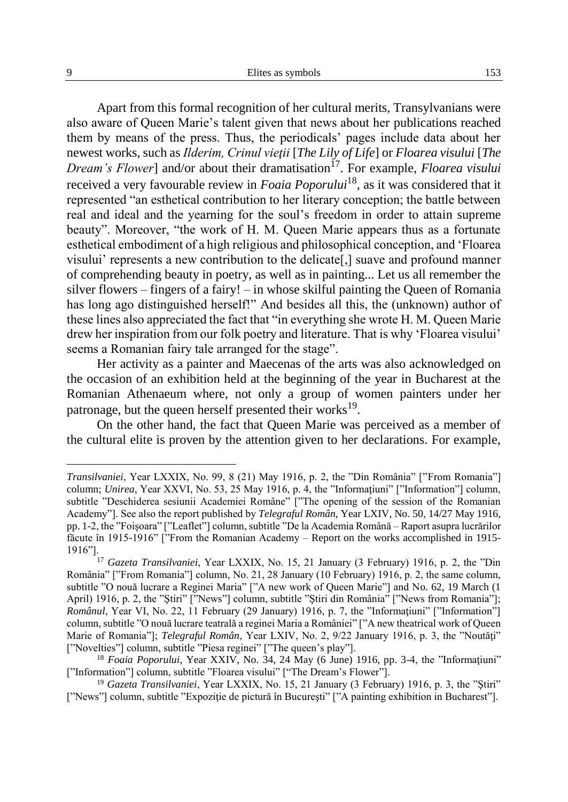Apart from this formal recognition of her cultural merits, Transylvanians were also aware of Queen Marie's talent given that news about her publications reached them by means of the press. Thus, the periodicals' pages include data about her newest works, such as *Ilderim, Crinul vieţii* [*The Lily of Life*] or *Floarea visului* [*The Dream's Flower*] and/or about their dramatisation<sup>17</sup>. For example, *Floarea visului* received a very favourable review in *Foaia Poporului*18, as it was considered that it represented "an esthetical contribution to her literary conception; the battle between real and ideal and the yearning for the soul's freedom in order to attain supreme beauty". Moreover, "the work of H. M. Queen Marie appears thus as a fortunate esthetical embodiment of a high religious and philosophical conception, and 'Floarea visului' represents a new contribution to the delicate[,] suave and profound manner of comprehending beauty in poetry, as well as in painting... Let us all remember the silver flowers – fingers of a fairy! – in whose skilful painting the Queen of Romania has long ago distinguished herself!" And besides all this, the (unknown) author of these lines also appreciated the fact that "in everything she wrote H. M. Queen Marie drew her inspiration from our folk poetry and literature. That is why 'Floarea visului' seems a Romanian fairy tale arranged for the stage".

Her activity as a painter and Maecenas of the arts was also acknowledged on the occasion of an exhibition held at the beginning of the year in Bucharest at the Romanian Athenaeum where, not only a group of women painters under her patronage, but the queen herself presented their works<sup>19</sup>.

On the other hand, the fact that Queen Marie was perceived as a member of the cultural elite is proven by the attention given to her declarations. For example,

*Transilvaniei*, Year LXXIX, No. 99, 8 (21) May 1916, p. 2, the "Din România" ["From Romania"] column; *Unirea*, Year XXVI, No. 53, 25 May 1916, p. 4, the "Informatiuni" ["Information"] column, subtitle "Deschiderea sesiunii Academiei Române" ["The opening of the session of the Romanian Academy"]. See also the report published by *Telegraful Român*, Year LXIV, No. 50, 14/27 May 1916, pp. 1-2, the "Foişoara" ["Leaflet"] column, subtitle "De la Academia Română – Raport asupra lucrărilor făcute în 1915-1916" ["From the Romanian Academy – Report on the works accomplished in 1915- 1916"].

<sup>17</sup> *Gazeta Transilvaniei*, Year LXXIX, No. 15, 21 January (3 February) 1916, p. 2, the "Din România" ["From Romania"] column, No. 21, 28 January (10 February) 1916, p. 2, the same column, subtitle "O nouă lucrare a Reginei Maria" ["A new work of Queen Marie"] and No. 62, 19 March (1 April) 1916, p. 2, the "Știri" ["News"] column, subtitle "Știri din România" ["News from Romania"]; *Românul*, Year VI, No. 22, 11 February (29 January) 1916, p. 7, the "Informatiuni" ["Information"] column, subtitle "O nouă lucrare teatrală a reginei Maria a României" ["A new theatrical work of Queen Marie of Romania"]; *Telegraful Român*, Year LXIV, No. 2, 9/22 January 1916, p. 3, the "Noutăți" ["Novelties"] column, subtitle "Piesa reginei" ["The queen's play"].

<sup>&</sup>lt;sup>18</sup> *Foaia Poporului*, Year XXIV, No. 34, 24 May (6 June) 1916, pp. 3-4, the "Informatiuni" ["Information"] column, subtitle "Floarea visului" ["The Dream's Flower"].

<sup>&</sup>lt;sup>19</sup> *Gazeta Transilvaniei*, Year LXXIX, No. 15, 21 January (3 February) 1916, p. 3, the "Stiri" ["News"] column, subtitle "Expoziţie de pictură în Bucureşti" ["A painting exhibition in Bucharest"].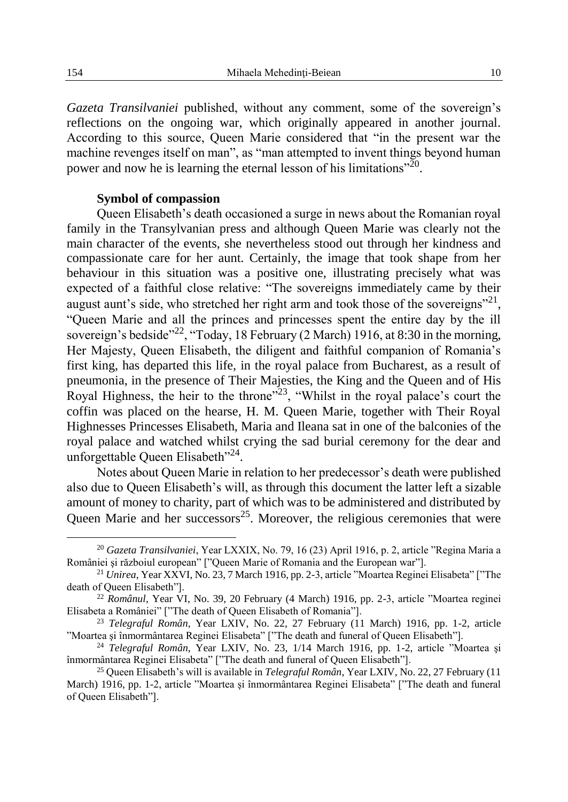*Gazeta Transilvaniei* published, without any comment, some of the sovereign's reflections on the ongoing war, which originally appeared in another journal. According to this source, Queen Marie considered that "in the present war the machine revenges itself on man", as "man attempted to invent things beyond human power and now he is learning the eternal lesson of his limitations"<sup>20</sup>.

### **Symbol of compassion**

Queen Elisabeth's death occasioned a surge in news about the Romanian royal family in the Transylvanian press and although Queen Marie was clearly not the main character of the events, she nevertheless stood out through her kindness and compassionate care for her aunt. Certainly, the image that took shape from her behaviour in this situation was a positive one, illustrating precisely what was expected of a faithful close relative: "The sovereigns immediately came by their august aunt's side, who stretched her right arm and took those of the sovereigns"<sup>21</sup>, "Queen Marie and all the princes and princesses spent the entire day by the ill sovereign's bedside"<sup>22</sup>, "Today, 18 February (2 March) 1916, at 8:30 in the morning, Her Majesty, Queen Elisabeth, the diligent and faithful companion of Romania's first king, has departed this life, in the royal palace from Bucharest, as a result of pneumonia, in the presence of Their Majesties, the King and the Queen and of His Royal Highness, the heir to the throne"<sup>23</sup>, "Whilst in the royal palace's court the coffin was placed on the hearse, H. M. Queen Marie, together with Their Royal Highnesses Princesses Elisabeth, Maria and Ileana sat in one of the balconies of the royal palace and watched whilst crying the sad burial ceremony for the dear and unforgettable Queen Elisabeth"<sup>24</sup>.

Notes about Queen Marie in relation to her predecessor's death were published also due to Queen Elisabeth's will, as through this document the latter left a sizable amount of money to charity, part of which was to be administered and distributed by Queen Marie and her successors<sup>25</sup>. Moreover, the religious ceremonies that were

<sup>20</sup> *Gazeta Transilvaniei*, Year LXXIX, No. 79, 16 (23) April 1916, p. 2, article "Regina Maria a României şi războiul european" ["Queen Marie of Romania and the European war"].

<sup>21</sup> *Unirea*, Year XXVI, No. 23, 7 March 1916, pp. 2-3, article "Moartea Reginei Elisabeta" ["The death of Queen Elisabeth"].

<sup>22</sup> *Românul*, Year VI, No. 39, 20 February (4 March) 1916, pp. 2-3, article "Moartea reginei Elisabeta a României" ["The death of Queen Elisabeth of Romania"].

<sup>23</sup> *Telegraful Român*, Year LXIV, No. 22, 27 February (11 March) 1916, pp. 1-2, article "Moartea şi înmormântarea Reginei Elisabeta" ["The death and funeral of Queen Elisabeth"].

<sup>24</sup> *Telegraful Român*, Year LXIV, No. 23, 1/14 March 1916, pp. 1-2, article "Moartea şi înmormântarea Reginei Elisabeta" ["The death and funeral of Queen Elisabeth"].

<sup>25</sup> Queen Elisabeth's will is available in *Telegraful Român*, Year LXIV, No. 22, 27 February (11 March) 1916, pp. 1-2, article "Moartea şi înmormântarea Reginei Elisabeta" ["The death and funeral of Queen Elisabeth"].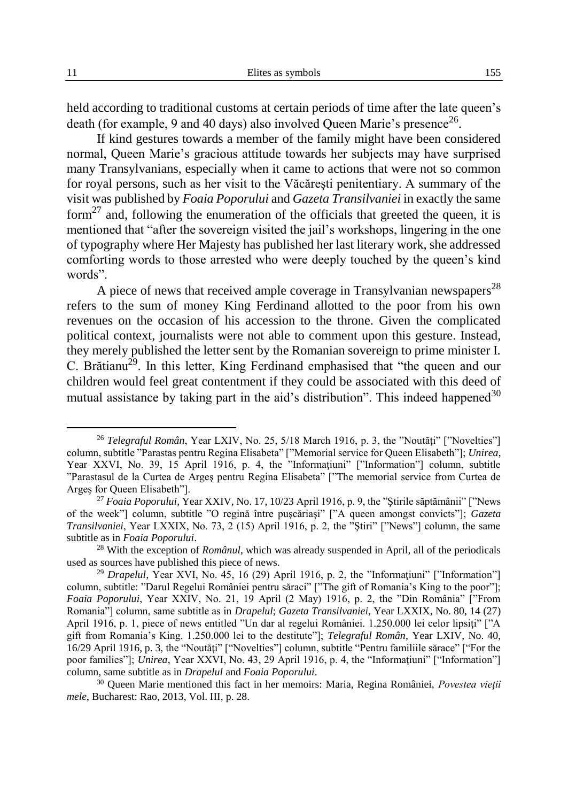held according to traditional customs at certain periods of time after the late queen's death (for example, 9 and 40 days) also involved Queen Marie's presence<sup>26</sup>.

If kind gestures towards a member of the family might have been considered normal, Queen Marie's gracious attitude towards her subjects may have surprised many Transylvanians, especially when it came to actions that were not so common for royal persons, such as her visit to the Văcăreşti penitentiary. A summary of the visit was published by *Foaia Poporului* and *Gazeta Transilvaniei* in exactly the same form<sup>27</sup> and, following the enumeration of the officials that greeted the queen, it is mentioned that "after the sovereign visited the jail's workshops, lingering in the one of typography where Her Majesty has published her last literary work, she addressed comforting words to those arrested who were deeply touched by the queen's kind words".

A piece of news that received ample coverage in Transylvanian newspapers<sup>28</sup> refers to the sum of money King Ferdinand allotted to the poor from his own revenues on the occasion of his accession to the throne. Given the complicated political context, journalists were not able to comment upon this gesture. Instead, they merely published the letter sent by the Romanian sovereign to prime minister I. C. Brătianu<sup>29</sup>. In this letter, King Ferdinand emphasised that "the queen and our children would feel great contentment if they could be associated with this deed of mutual assistance by taking part in the aid's distribution". This indeed happened  $30$ 

<sup>&</sup>lt;sup>26</sup> *Telegraful Român*, Year LXIV, No. 25, 5/18 March 1916, p. 3, the "Noutăți" ["Novelties"] column, subtitle "Parastas pentru Regina Elisabeta" ["Memorial service for Queen Elisabeth"]; *Unirea*, Year XXVI, No. 39, 15 April 1916, p. 4, the "Informatiuni" ["Information"] column, subtitle "Parastasul de la Curtea de Argeş pentru Regina Elisabeta" ["The memorial service from Curtea de Argeş for Queen Elisabeth"].

<sup>27</sup> *Foaia Poporului*, Year XXIV, No. 17, 10/23 April 1916, p. 9, the "Ştirile săptămânii" ["News of the week"] column, subtitle "O regină între puşcăriaşi" ["A queen amongst convicts"]; *Gazeta Transilvaniei*, Year LXXIX, No. 73, 2 (15) April 1916, p. 2, the "Ştiri" ["News"] column, the same subtitle as in *Foaia Poporului*.

<sup>28</sup> With the exception of *Românul*, which was already suspended in April, all of the periodicals used as sources have published this piece of news.

<sup>&</sup>lt;sup>29</sup> *Drapelul*, Year XVI, No. 45, 16 (29) April 1916, p. 2, the "Informatiuni" ["Information"] column, subtitle: "Darul Regelui României pentru săraci" ["The gift of Romania's King to the poor"]; *Foaia Poporului*, Year XXIV, No. 21, 19 April (2 May) 1916, p. 2, the "Din România" ["From Romania"] column, same subtitle as in *Drapelul*; *Gazeta Transilvaniei*, Year LXXIX, No. 80, 14 (27) April 1916, p. 1, piece of news entitled "Un dar al regelui României. 1.250.000 lei celor lipsiţi" ["A gift from Romania's King. 1.250.000 lei to the destitute"]; *Telegraful Român*, Year LXIV, No. 40, 16/29 April 1916, p. 3, the "Noutăţi" ["Novelties"] column, subtitle "Pentru familiile sărace" ["For the poor families"]; *Unirea*, Year XXVI, No. 43, 29 April 1916, p. 4, the "Informatiuni" ["Information"] column, same subtitle as in *Drapelul* and *Foaia Poporului*.

<sup>30</sup> Queen Marie mentioned this fact in her memoirs: Maria, Regina României, *Povestea vieţii mele*, Bucharest: Rao, 2013, Vol. III, p. 28.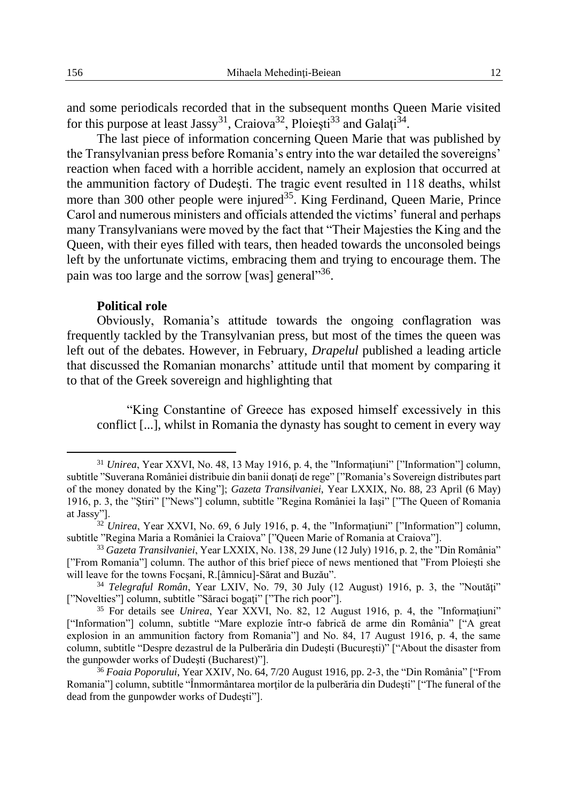and some periodicals recorded that in the subsequent months Queen Marie visited for this purpose at least Jassy<sup>31</sup>, Craiova<sup>32</sup>, Ploiești<sup>33</sup> and Galați<sup>34</sup>.

The last piece of information concerning Queen Marie that was published by the Transylvanian press before Romania's entry into the war detailed the sovereigns' reaction when faced with a horrible accident, namely an explosion that occurred at the ammunition factory of Dudeşti. The tragic event resulted in 118 deaths, whilst more than 300 other people were injured<sup>35</sup>. King Ferdinand, Queen Marie, Prince Carol and numerous ministers and officials attended the victims' funeral and perhaps many Transylvanians were moved by the fact that "Their Majesties the King and the Queen, with their eyes filled with tears, then headed towards the unconsoled beings left by the unfortunate victims, embracing them and trying to encourage them. The pain was too large and the sorrow [was] general"36.

## **Political role**

Obviously, Romania's attitude towards the ongoing conflagration was frequently tackled by the Transylvanian press, but most of the times the queen was left out of the debates. However, in February, *Drapelul* published a leading article that discussed the Romanian monarchs' attitude until that moment by comparing it to that of the Greek sovereign and highlighting that

"King Constantine of Greece has exposed himself excessively in this conflict [...], whilst in Romania the dynasty has sought to cement in every way

 $31$  *Unirea*, Year XXVI, No. 48, 13 May 1916, p. 4, the "Informatiuni" ["Information"] column, subtitle "Suverana României distribuie din banii donați de rege" ["Romania's Sovereign distributes part of the money donated by the King"]; *Gazeta Transilvaniei*, Year LXXIX, No. 88, 23 April (6 May) 1916, p. 3, the "Ştiri" ["News"] column, subtitle "Regina României la Iaşi" ["The Queen of Romania at Jassy"].

<sup>&</sup>lt;sup>32</sup> *Unirea*, Year XXVI, No. 69, 6 July 1916, p. 4, the "Informatiuni" ["Information"] column, subtitle "Regina Maria a României la Craiova" ["Queen Marie of Romania at Craiova"].

<sup>33</sup> *Gazeta Transilvaniei*, Year LXXIX, No. 138, 29 June (12 July) 1916, p. 2, the "Din România" ["From Romania"] column. The author of this brief piece of news mentioned that "From Ploieşti she will leave for the towns Focşani, R.[âmnicu]-Sărat and Buzău".

<sup>&</sup>lt;sup>34</sup> *Telegraful Român*, Year LXIV, No. 79, 30 July (12 August) 1916, p. 3, the "Noutăți" ["Novelties"] column, subtitle "Săraci bogați" ["The rich poor"].

<sup>35</sup> For details see *Unirea*, Year XXVI, No. 82, 12 August 1916, p. 4, the "Informaţiuni" ["Information"] column, subtitle "Mare explozie într-o fabrică de arme din România" ["A great explosion in an ammunition factory from Romania"] and No. 84, 17 August 1916, p. 4, the same column, subtitle "Despre dezastrul de la Pulberăria din Dudeşti (Bucureşti)" ["About the disaster from the gunpowder works of Dudeşti (Bucharest)"].

<sup>36</sup> *Foaia Poporului*, Year XXIV, No. 64, 7/20 August 1916, pp. 2-3, the "Din România" ["From Romania"] column, subtitle "Înmormântarea morţilor de la pulberăria din Dudeşti" ["The funeral of the dead from the gunpowder works of Dudeşti"].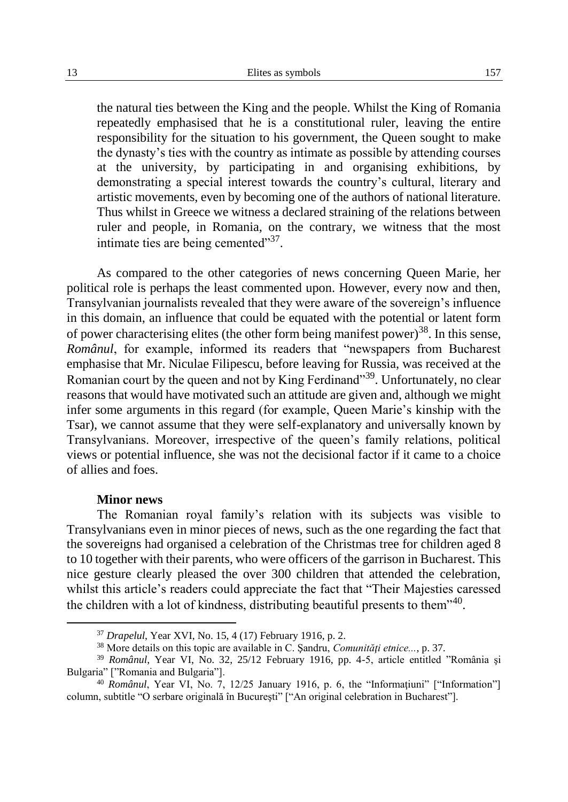the natural ties between the King and the people. Whilst the King of Romania repeatedly emphasised that he is a constitutional ruler, leaving the entire responsibility for the situation to his government, the Queen sought to make the dynasty's ties with the country as intimate as possible by attending courses at the university, by participating in and organising exhibitions, by demonstrating a special interest towards the country's cultural, literary and artistic movements, even by becoming one of the authors of national literature. Thus whilst in Greece we witness a declared straining of the relations between ruler and people, in Romania, on the contrary, we witness that the most intimate ties are being cemented"<sup>37</sup>.

As compared to the other categories of news concerning Queen Marie, her political role is perhaps the least commented upon. However, every now and then, Transylvanian journalists revealed that they were aware of the sovereign's influence in this domain, an influence that could be equated with the potential or latent form of power characterising elites (the other form being manifest power)<sup>38</sup>. In this sense, *Românul*, for example, informed its readers that "newspapers from Bucharest emphasise that Mr. Niculae Filipescu, before leaving for Russia, was received at the Romanian court by the queen and not by King Ferdinand<sup>339</sup>. Unfortunately, no clear reasons that would have motivated such an attitude are given and, although we might infer some arguments in this regard (for example, Queen Marie's kinship with the Tsar), we cannot assume that they were self-explanatory and universally known by Transylvanians. Moreover, irrespective of the queen's family relations, political views or potential influence, she was not the decisional factor if it came to a choice of allies and foes.

#### **Minor news**

 $\overline{a}$ 

The Romanian royal family's relation with its subjects was visible to Transylvanians even in minor pieces of news, such as the one regarding the fact that the sovereigns had organised a celebration of the Christmas tree for children aged 8 to 10 together with their parents, who were officers of the garrison in Bucharest. This nice gesture clearly pleased the over 300 children that attended the celebration, whilst this article's readers could appreciate the fact that "Their Majesties caressed the children with a lot of kindness, distributing beautiful presents to them<sup> $40$ </sup>.

<sup>37</sup> *Drapelul*, Year XVI, No. 15, 4 (17) February 1916, p. 2.

<sup>38</sup> More details on this topic are available in C. Şandru, *Comunităţi etnice...*, p. 37.

<sup>39</sup> *Românul*, Year VI, No. 32, 25/12 February 1916, pp. 4-5, article entitled "România şi Bulgaria" ["Romania and Bulgaria"].

<sup>40</sup> *Românul*, Year VI, No. 7, 12/25 January 1916, p. 6, the "Informaţiuni" ["Information"] column, subtitle "O serbare originală în Bucureşti" ["An original celebration in Bucharest"].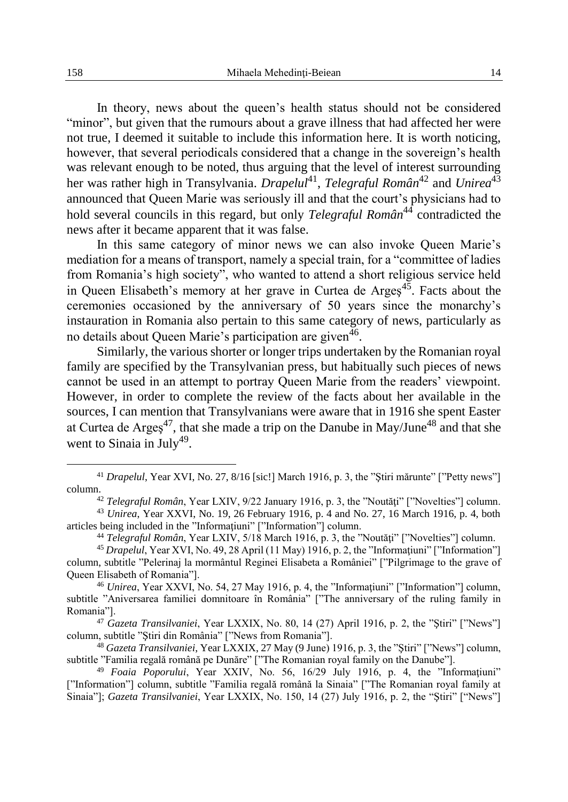In theory, news about the queen's health status should not be considered "minor", but given that the rumours about a grave illness that had affected her were not true, I deemed it suitable to include this information here. It is worth noticing, however, that several periodicals considered that a change in the sovereign's health was relevant enough to be noted, thus arguing that the level of interest surrounding her was rather high in Transylvania. *Drapelul*<sup>41</sup>, *Telegraful Român*<sup>42</sup> and *Unirea*<sup>43</sup> announced that Queen Marie was seriously ill and that the court's physicians had to hold several councils in this regard, but only *Telegraful Român*<sup>44</sup> contradicted the news after it became apparent that it was false.

In this same category of minor news we can also invoke Queen Marie's mediation for a means of transport, namely a special train, for a "committee of ladies from Romania's high society", who wanted to attend a short religious service held in Queen Elisabeth's memory at her grave in Curtea de Arges<sup> $45$ </sup>. Facts about the ceremonies occasioned by the anniversary of 50 years since the monarchy's instauration in Romania also pertain to this same category of news, particularly as no details about Queen Marie's participation are given<sup>46</sup>.

Similarly, the various shorter or longer trips undertaken by the Romanian royal family are specified by the Transylvanian press, but habitually such pieces of news cannot be used in an attempt to portray Queen Marie from the readers' viewpoint. However, in order to complete the review of the facts about her available in the sources, I can mention that Transylvanians were aware that in 1916 she spent Easter at Curtea de Arges<sup>47</sup>, that she made a trip on the Danube in May/June<sup>48</sup> and that she went to Sinaia in July<sup>49</sup>.

<sup>&</sup>lt;sup>41</sup> *Drapelul*, Year XVI, No. 27, 8/16 [sic!] March 1916, p. 3, the "Ştiri mărunte" ["Petty news"] column.

<sup>&</sup>lt;sup>42</sup> *Telegraful Român*, Year LXIV, 9/22 January 1916, p. 3, the "Noutăți" ["Novelties"] column.

<sup>43</sup> *Unirea*, Year XXVI, No. 19, 26 February 1916, p. 4 and No. 27, 16 March 1916, p. 4, both articles being included in the "Informatiuni" ["Information"] column.

<sup>&</sup>lt;sup>44</sup> *Telegraful Român*, Year LXIV, 5/18 March 1916, p. 3, the "Noutăți" ["Novelties"] column.

<sup>&</sup>lt;sup>45</sup> *Drapelul*, Year XVI, No. 49, 28 April (11 May) 1916, p. 2, the "Informatiuni" ["Information"] column, subtitle "Pelerinaj la mormântul Reginei Elisabeta a României" ["Pilgrimage to the grave of Queen Elisabeth of Romania"].

<sup>&</sup>lt;sup>46</sup> *Unirea*, Year XXVI, No. 54, 27 May 1916, p. 4, the "Informatiuni" ["Information"] column, subtitle "Aniversarea familiei domnitoare în România" ["The anniversary of the ruling family in Romania"].

<sup>47</sup> *Gazeta Transilvaniei*, Year LXXIX, No. 80, 14 (27) April 1916, p. 2, the "Ştiri" ["News"] column, subtitle "Ştiri din România" ["News from Romania"].

<sup>48</sup> *Gazeta Transilvaniei*, Year LXXIX, 27 May (9 June) 1916, p. 3, the "Ştiri" ["News"] column, subtitle "Familia regală română pe Dunăre" ["The Romanian royal family on the Danube"].

<sup>49</sup> *Foaia Poporului*, Year XXIV, No. 56, 16/29 July 1916, p. 4, the "Informaţiuni" ["Information"] column, subtitle "Familia regală română la Sinaia" ["The Romanian royal family at Sinaia"]; *Gazeta Transilvaniei*, Year LXXIX, No. 150, 14 (27) July 1916, p. 2, the "Ştiri" ["News"]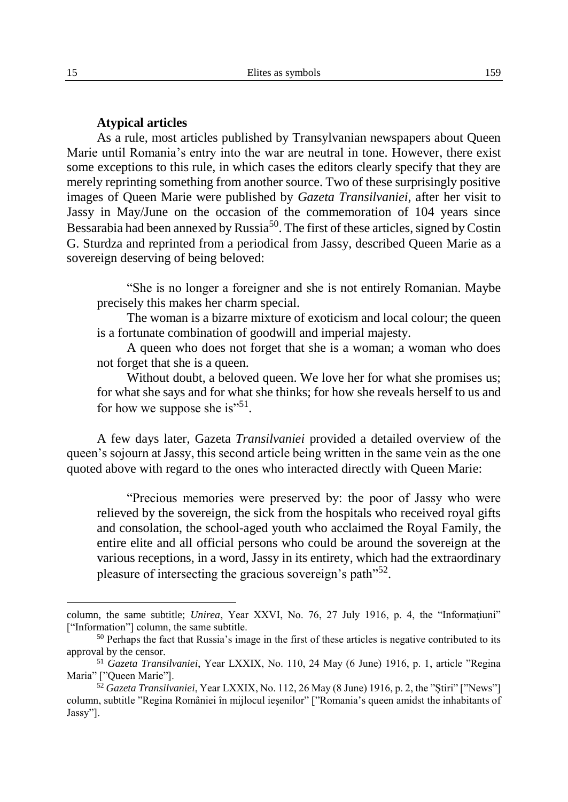#### **Atypical articles**

As a rule, most articles published by Transylvanian newspapers about Queen Marie until Romania's entry into the war are neutral in tone. However, there exist some exceptions to this rule, in which cases the editors clearly specify that they are merely reprinting something from another source. Two of these surprisingly positive images of Queen Marie were published by *Gazeta Transilvaniei*, after her visit to Jassy in May/June on the occasion of the commemoration of 104 years since Bessarabia had been annexed by Russia<sup>50</sup>. The first of these articles, signed by Costin G. Sturdza and reprinted from a periodical from Jassy, described Queen Marie as a sovereign deserving of being beloved:

"She is no longer a foreigner and she is not entirely Romanian. Maybe precisely this makes her charm special.

The woman is a bizarre mixture of exoticism and local colour; the queen is a fortunate combination of goodwill and imperial majesty.

A queen who does not forget that she is a woman; a woman who does not forget that she is a queen.

Without doubt, a beloved queen. We love her for what she promises us; for what she says and for what she thinks; for how she reveals herself to us and for how we suppose she is"<sup>51</sup>.

A few days later, Gazeta *Transilvaniei* provided a detailed overview of the queen's sojourn at Jassy, this second article being written in the same vein as the one quoted above with regard to the ones who interacted directly with Queen Marie:

"Precious memories were preserved by: the poor of Jassy who were relieved by the sovereign, the sick from the hospitals who received royal gifts and consolation, the school-aged youth who acclaimed the Royal Family, the entire elite and all official persons who could be around the sovereign at the various receptions, in a word, Jassy in its entirety, which had the extraordinary pleasure of intersecting the gracious sovereign's path $^{552}$ .

column, the same subtitle; *Unirea*, Year XXVI, No. 76, 27 July 1916, p. 4, the "Informaţiuni" ["Information"] column, the same subtitle.

<sup>&</sup>lt;sup>50</sup> Perhaps the fact that Russia's image in the first of these articles is negative contributed to its approval by the censor.

<sup>51</sup> *Gazeta Transilvaniei*, Year LXXIX, No. 110, 24 May (6 June) 1916, p. 1, article "Regina Maria" ["Queen Marie"].

<sup>52</sup> *Gazeta Transilvaniei*, Year LXXIX, No. 112, 26 May (8 June) 1916, p. 2, the "Ştiri" ["News"] column, subtitle "Regina României în mijlocul ieşenilor" ["Romania's queen amidst the inhabitants of Jassy"].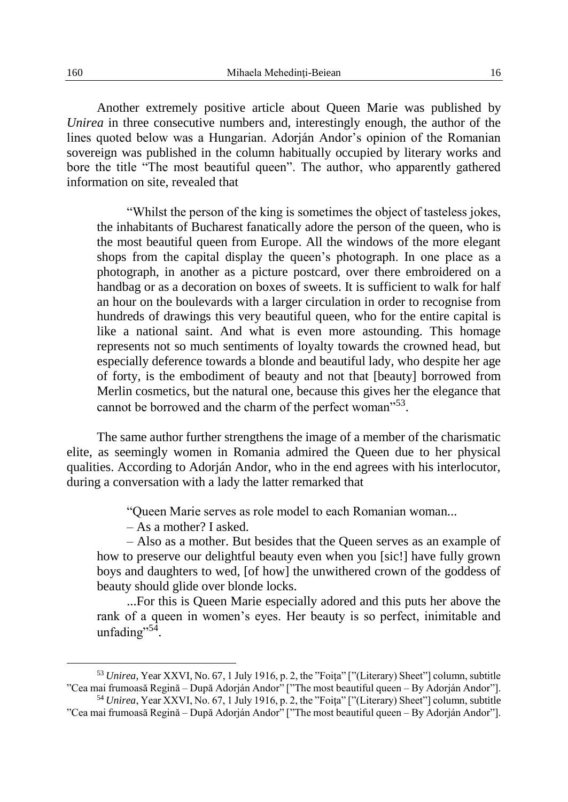Another extremely positive article about Queen Marie was published by *Unirea* in three consecutive numbers and, interestingly enough, the author of the lines quoted below was a Hungarian. Adorján Andor's opinion of the Romanian sovereign was published in the column habitually occupied by literary works and bore the title "The most beautiful queen". The author, who apparently gathered information on site, revealed that

"Whilst the person of the king is sometimes the object of tasteless jokes, the inhabitants of Bucharest fanatically adore the person of the queen, who is the most beautiful queen from Europe. All the windows of the more elegant shops from the capital display the queen's photograph. In one place as a photograph, in another as a picture postcard, over there embroidered on a handbag or as a decoration on boxes of sweets. It is sufficient to walk for half an hour on the boulevards with a larger circulation in order to recognise from hundreds of drawings this very beautiful queen, who for the entire capital is like a national saint. And what is even more astounding. This homage represents not so much sentiments of loyalty towards the crowned head, but especially deference towards a blonde and beautiful lady, who despite her age of forty, is the embodiment of beauty and not that [beauty] borrowed from Merlin cosmetics, but the natural one, because this gives her the elegance that cannot be borrowed and the charm of the perfect woman"<sup>53</sup>.

The same author further strengthens the image of a member of the charismatic elite, as seemingly women in Romania admired the Queen due to her physical qualities. According to Adorján Andor, who in the end agrees with his interlocutor, during a conversation with a lady the latter remarked that

"Queen Marie serves as role model to each Romanian woman...

– As a mother? I asked.

– Also as a mother. But besides that the Queen serves as an example of how to preserve our delightful beauty even when you [sic!] have fully grown boys and daughters to wed, [of how] the unwithered crown of the goddess of beauty should glide over blonde locks.

...For this is Queen Marie especially adored and this puts her above the rank of a queen in women's eyes. Her beauty is so perfect, inimitable and unfading"<sup>54</sup>.

<sup>&</sup>lt;sup>53</sup> *Unirea*, Year XXVI, No. 67, 1 July 1916, p. 2, the "Foita" ["(Literary) Sheet"] column, subtitle "Cea mai frumoasă Regină – După Adorján Andor" ["The most beautiful queen – By Adorján Andor"].

<sup>&</sup>lt;sup>54</sup> *Unirea*, Year XXVI, No. 67, 1 July 1916, p. 2, the "Foiţa" ["(Literary) Sheet"] column, subtitle "Cea mai frumoasă Regină – După Adorján Andor" ["The most beautiful queen – By Adorján Andor"].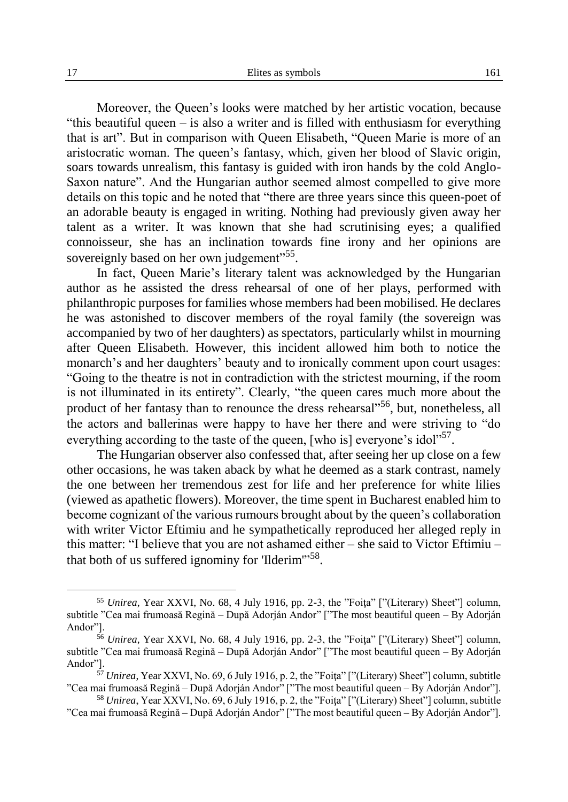Moreover, the Queen's looks were matched by her artistic vocation, because "this beautiful queen – is also a writer and is filled with enthusiasm for everything that is art". But in comparison with Queen Elisabeth, "Queen Marie is more of an aristocratic woman. The queen's fantasy, which, given her blood of Slavic origin, soars towards unrealism, this fantasy is guided with iron hands by the cold Anglo-Saxon nature". And the Hungarian author seemed almost compelled to give more details on this topic and he noted that "there are three years since this queen-poet of an adorable beauty is engaged in writing. Nothing had previously given away her talent as a writer. It was known that she had scrutinising eyes; a qualified connoisseur, she has an inclination towards fine irony and her opinions are sovereignly based on her own judgement"<sup>55</sup>.

In fact, Queen Marie's literary talent was acknowledged by the Hungarian author as he assisted the dress rehearsal of one of her plays, performed with philanthropic purposes for families whose members had been mobilised. He declares he was astonished to discover members of the royal family (the sovereign was accompanied by two of her daughters) as spectators, particularly whilst in mourning after Queen Elisabeth. However, this incident allowed him both to notice the monarch's and her daughters' beauty and to ironically comment upon court usages: "Going to the theatre is not in contradiction with the strictest mourning, if the room is not illuminated in its entirety". Clearly, "the queen cares much more about the product of her fantasy than to renounce the dress rehearsal<sup>55</sup>, but, nonetheless, all the actors and ballerinas were happy to have her there and were striving to "do everything according to the taste of the queen, [who is] everyone's idol"<sup>57</sup>.

The Hungarian observer also confessed that, after seeing her up close on a few other occasions, he was taken aback by what he deemed as a stark contrast, namely the one between her tremendous zest for life and her preference for white lilies (viewed as apathetic flowers). Moreover, the time spent in Bucharest enabled him to become cognizant of the various rumours brought about by the queen's collaboration with writer Victor Eftimiu and he sympathetically reproduced her alleged reply in this matter: "I believe that you are not ashamed either – she said to Victor Eftimiu – that both of us suffered ignominy for 'Ilderim"<sup>58</sup>.

<sup>&</sup>lt;sup>55</sup> *Unirea*, Year XXVI, No. 68, 4 July 1916, pp. 2-3, the "Foita" ["(Literary) Sheet"] column, subtitle "Cea mai frumoasă Regină – După Adorján Andor" ["The most beautiful queen – By Adorján Andor"].

<sup>&</sup>lt;sup>56</sup> *Unirea*, Year XXVI, No. 68, 4 July 1916, pp. 2-3, the "Foita" ["(Literary) Sheet"] column, subtitle "Cea mai frumoasă Regină – După Adorján Andor" ["The most beautiful queen – By Adorján Andor"].

<sup>57</sup> *Unirea*, Year XXVI, No. 69, 6 July 1916, p. 2, the "Foiţa" ["(Literary) Sheet"] column, subtitle "Cea mai frumoasă Regină – După Adorján Andor" ["The most beautiful queen – By Adorján Andor"].

<sup>58</sup> *Unirea*, Year XXVI, No. 69, 6 July 1916, p. 2, the "Foiţa" ["(Literary) Sheet"] column, subtitle "Cea mai frumoasă Regină – După Adorján Andor" ["The most beautiful queen – By Adorján Andor"].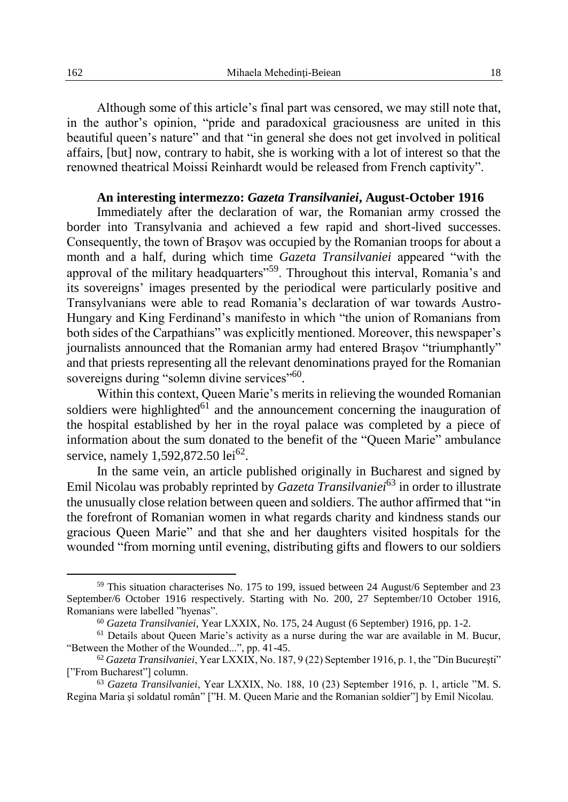Although some of this article's final part was censored, we may still note that, in the author's opinion, "pride and paradoxical graciousness are united in this beautiful queen's nature" and that "in general she does not get involved in political affairs, [but] now, contrary to habit, she is working with a lot of interest so that the renowned theatrical Moissi Reinhardt would be released from French captivity".

## **An interesting intermezzo:** *Gazeta Transilvaniei***, August-October 1916**

Immediately after the declaration of war, the Romanian army crossed the border into Transylvania and achieved a few rapid and short-lived successes. Consequently, the town of Braşov was occupied by the Romanian troops for about a month and a half, during which time *Gazeta Transilvaniei* appeared "with the approval of the military headquarters"59. Throughout this interval, Romania's and its sovereigns' images presented by the periodical were particularly positive and Transylvanians were able to read Romania's declaration of war towards Austro-Hungary and King Ferdinand's manifesto in which "the union of Romanians from both sides of the Carpathians" was explicitly mentioned. Moreover, this newspaper's journalists announced that the Romanian army had entered Brasov "triumphantly" and that priests representing all the relevant denominations prayed for the Romanian sovereigns during "solemn divine services"<sup>60</sup>.

Within this context, Queen Marie's merits in relieving the wounded Romanian soldiers were highlighted $61$  and the announcement concerning the inauguration of the hospital established by her in the royal palace was completed by a piece of information about the sum donated to the benefit of the "Queen Marie" ambulance service, namely 1,592,872.50  $1e^{62}$ .

In the same vein, an article published originally in Bucharest and signed by Emil Nicolau was probably reprinted by *Gazeta Transilvaniei*<sup>63</sup> in order to illustrate the unusually close relation between queen and soldiers. The author affirmed that "in the forefront of Romanian women in what regards charity and kindness stands our gracious Queen Marie" and that she and her daughters visited hospitals for the wounded "from morning until evening, distributing gifts and flowers to our soldiers

<sup>59</sup> This situation characterises No. 175 to 199, issued between 24 August/6 September and 23 September/6 October 1916 respectively. Starting with No. 200, 27 September/10 October 1916, Romanians were labelled "hyenas".

<sup>60</sup> *Gazeta Transilvaniei*, Year LXXIX, No. 175, 24 August (6 September) 1916, pp. 1-2.

 $<sup>61</sup>$  Details about Oueen Marie's activity as a nurse during the war are available in M. Bucur,</sup> "Between the Mother of the Wounded...", pp. 41-45.

<sup>62</sup> *Gazeta Transilvaniei*, Year LXXIX, No. 187, 9 (22) September 1916, p. 1, the "Din Bucureşti" ["From Bucharest"] column.

<sup>63</sup> *Gazeta Transilvaniei*, Year LXXIX, No. 188, 10 (23) September 1916, p. 1, article "M. S. Regina Maria şi soldatul român" ["H. M. Queen Marie and the Romanian soldier"] by Emil Nicolau.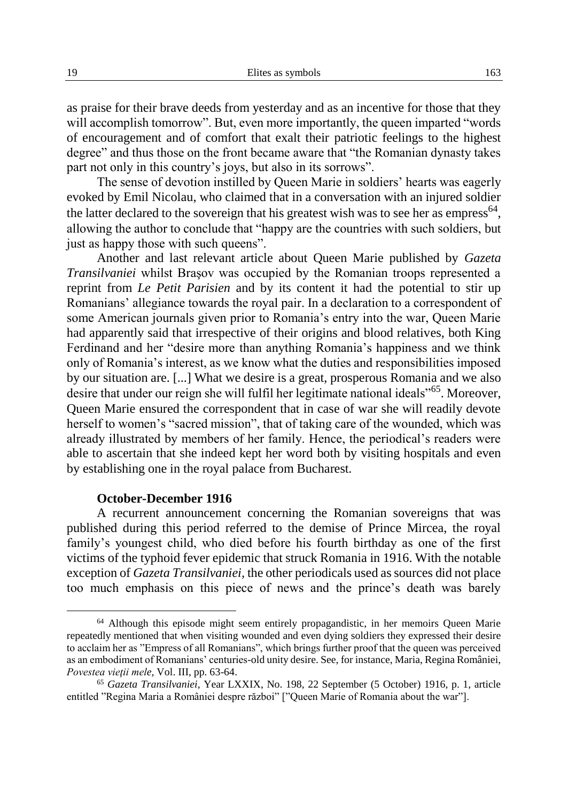as praise for their brave deeds from yesterday and as an incentive for those that they will accomplish tomorrow". But, even more importantly, the queen imparted "words" of encouragement and of comfort that exalt their patriotic feelings to the highest degree" and thus those on the front became aware that "the Romanian dynasty takes part not only in this country's joys, but also in its sorrows".

The sense of devotion instilled by Queen Marie in soldiers' hearts was eagerly evoked by Emil Nicolau, who claimed that in a conversation with an injured soldier the latter declared to the sovereign that his greatest wish was to see her as empress<sup>64</sup>, allowing the author to conclude that "happy are the countries with such soldiers, but just as happy those with such queens".

Another and last relevant article about Queen Marie published by *Gazeta Transilvaniei* whilst Braşov was occupied by the Romanian troops represented a reprint from *Le Petit Parisien* and by its content it had the potential to stir up Romanians' allegiance towards the royal pair. In a declaration to a correspondent of some American journals given prior to Romania's entry into the war, Queen Marie had apparently said that irrespective of their origins and blood relatives, both King Ferdinand and her "desire more than anything Romania's happiness and we think only of Romania's interest, as we know what the duties and responsibilities imposed by our situation are. [...] What we desire is a great, prosperous Romania and we also desire that under our reign she will fulfil her legitimate national ideals"65. Moreover, Queen Marie ensured the correspondent that in case of war she will readily devote herself to women's "sacred mission", that of taking care of the wounded, which was already illustrated by members of her family. Hence, the periodical's readers were able to ascertain that she indeed kept her word both by visiting hospitals and even by establishing one in the royal palace from Bucharest.

#### **October-December 1916**

A recurrent announcement concerning the Romanian sovereigns that was published during this period referred to the demise of Prince Mircea, the royal family's youngest child, who died before his fourth birthday as one of the first victims of the typhoid fever epidemic that struck Romania in 1916. With the notable exception of *Gazeta Transilvaniei,* the other periodicals used as sources did not place too much emphasis on this piece of news and the prince's death was barely

<sup>64</sup> Although this episode might seem entirely propagandistic, in her memoirs Queen Marie repeatedly mentioned that when visiting wounded and even dying soldiers they expressed their desire to acclaim her as "Empress of all Romanians", which brings further proof that the queen was perceived as an embodiment of Romanians' centuries-old unity desire. See, for instance, Maria, Regina României, *Povestea vieţii mele,* Vol. III, pp. 63-64.

<sup>65</sup> *Gazeta Transilvaniei*, Year LXXIX, No. 198, 22 September (5 October) 1916, p. 1, article entitled "Regina Maria a României despre război" ["Queen Marie of Romania about the war"].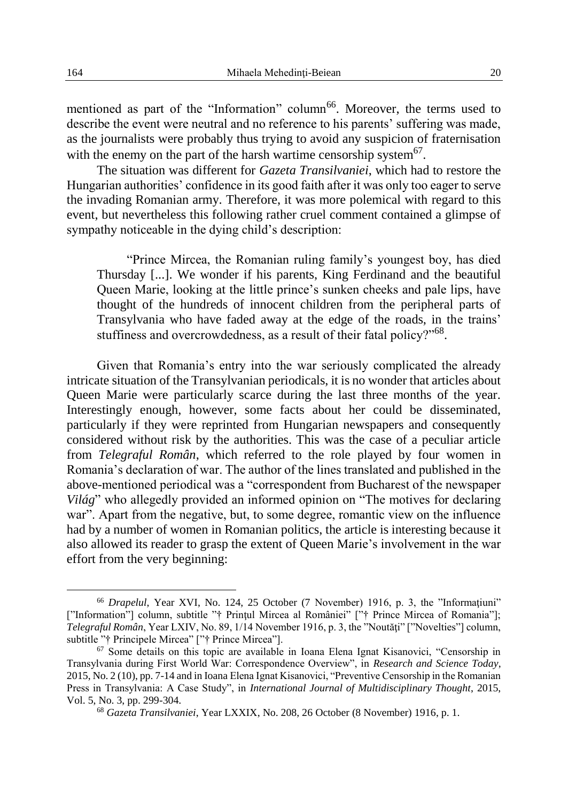mentioned as part of the "Information" column<sup>66</sup>. Moreover, the terms used to describe the event were neutral and no reference to his parents' suffering was made, as the journalists were probably thus trying to avoid any suspicion of fraternisation with the enemy on the part of the harsh wartime censorship system $67$ .

The situation was different for *Gazeta Transilvaniei*, which had to restore the Hungarian authorities' confidence in its good faith after it was only too eager to serve the invading Romanian army. Therefore, it was more polemical with regard to this event, but nevertheless this following rather cruel comment contained a glimpse of sympathy noticeable in the dying child's description:

"Prince Mircea, the Romanian ruling family's youngest boy, has died Thursday [...]. We wonder if his parents, King Ferdinand and the beautiful Queen Marie, looking at the little prince's sunken cheeks and pale lips, have thought of the hundreds of innocent children from the peripheral parts of Transylvania who have faded away at the edge of the roads, in the trains' stuffiness and overcrowdedness, as a result of their fatal policy?"<sup>68</sup>.

Given that Romania's entry into the war seriously complicated the already intricate situation of the Transylvanian periodicals, it is no wonder that articles about Queen Marie were particularly scarce during the last three months of the year. Interestingly enough, however, some facts about her could be disseminated, particularly if they were reprinted from Hungarian newspapers and consequently considered without risk by the authorities. This was the case of a peculiar article from *Telegraful Român*, which referred to the role played by four women in Romania's declaration of war. The author of the lines translated and published in the above-mentioned periodical was a "correspondent from Bucharest of the newspaper *Világ*" who allegedly provided an informed opinion on "The motives for declaring war". Apart from the negative, but, to some degree, romantic view on the influence had by a number of women in Romanian politics, the article is interesting because it also allowed its reader to grasp the extent of Queen Marie's involvement in the war effort from the very beginning:

<sup>&</sup>lt;sup>66</sup> *Drapelul*, Year XVI, No. 124, 25 October (7 November) 1916, p. 3, the "Informatiuni" ["Information"] column, subtitle "† Prințul Mircea al României" ["† Prince Mircea of Romania"]; *Telegraful Român*, Year LXIV, No. 89, 1/14 November 1916, p. 3, the "Noutăți" ["Novelties"] column, subtitle "† Principele Mircea" ["† Prince Mircea"].

<sup>67</sup> Some details on this topic are available in Ioana Elena Ignat Kisanovici, "Censorship in Transylvania during First World War: Correspondence Overview", in *Research and Science Today*, 2015, No. 2 (10), pp. 7-14 and in Ioana Elena Ignat Kisanovici, "Preventive Censorship in the Romanian Press in Transylvania: A Case Study", in *International Journal of Multidisciplinary Thought*, 2015, Vol. 5, No. 3, pp. 299-304.

<sup>68</sup> *Gazeta Transilvaniei*, Year LXXIX, No. 208, 26 October (8 November) 1916, p. 1.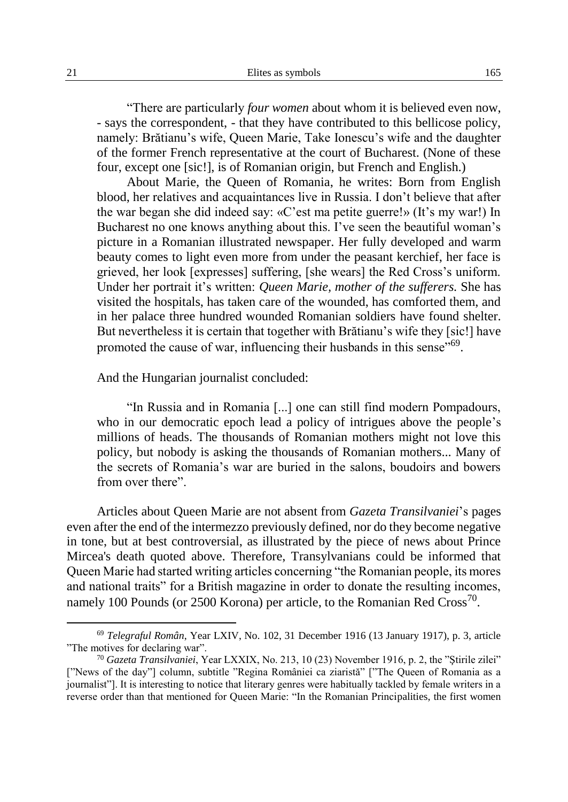"There are particularly *four women* about whom it is believed even now, - says the correspondent, - that they have contributed to this bellicose policy, namely: Brătianu's wife, Queen Marie, Take Ionescu's wife and the daughter of the former French representative at the court of Bucharest. (None of these four, except one [sic!], is of Romanian origin, but French and English.)

About Marie, the Queen of Romania, he writes: Born from English blood, her relatives and acquaintances live in Russia. I don't believe that after the war began she did indeed say: «C'est ma petite guerre!» (It's my war!) In Bucharest no one knows anything about this. I've seen the beautiful woman's picture in a Romanian illustrated newspaper. Her fully developed and warm beauty comes to light even more from under the peasant kerchief, her face is grieved, her look [expresses] suffering, [she wears] the Red Cross's uniform. Under her portrait it's written: *Queen Marie, mother of the sufferers.* She has visited the hospitals, has taken care of the wounded, has comforted them, and in her palace three hundred wounded Romanian soldiers have found shelter. But nevertheless it is certain that together with Brătianu's wife they [sic!] have promoted the cause of war, influencing their husbands in this sense"<sup>69</sup>.

#### And the Hungarian journalist concluded:

"In Russia and in Romania [...] one can still find modern Pompadours, who in our democratic epoch lead a policy of intrigues above the people's millions of heads. The thousands of Romanian mothers might not love this policy, but nobody is asking the thousands of Romanian mothers... Many of the secrets of Romania's war are buried in the salons, boudoirs and bowers from over there".

Articles about Queen Marie are not absent from *Gazeta Transilvaniei*'s pages even after the end of the intermezzo previously defined, nor do they become negative in tone, but at best controversial, as illustrated by the piece of news about Prince Mircea's death quoted above. Therefore, Transylvanians could be informed that Queen Marie had started writing articles concerning "the Romanian people, its mores and national traits" for a British magazine in order to donate the resulting incomes, namely 100 Pounds (or 2500 Korona) per article, to the Romanian Red Cross<sup>70</sup>.

<sup>69</sup> *Telegraful Român*, Year LXIV, No. 102, 31 December 1916 (13 January 1917), p. 3, article "The motives for declaring war".

<sup>70</sup> *Gazeta Transilvaniei*, Year LXXIX, No. 213, 10 (23) November 1916, p. 2, the "Ştirile zilei" ["News of the day"] column, subtitle "Regina României ca ziaristă" ["The Queen of Romania as a journalist"]. It is interesting to notice that literary genres were habitually tackled by female writers in a reverse order than that mentioned for Queen Marie: "In the Romanian Principalities, the first women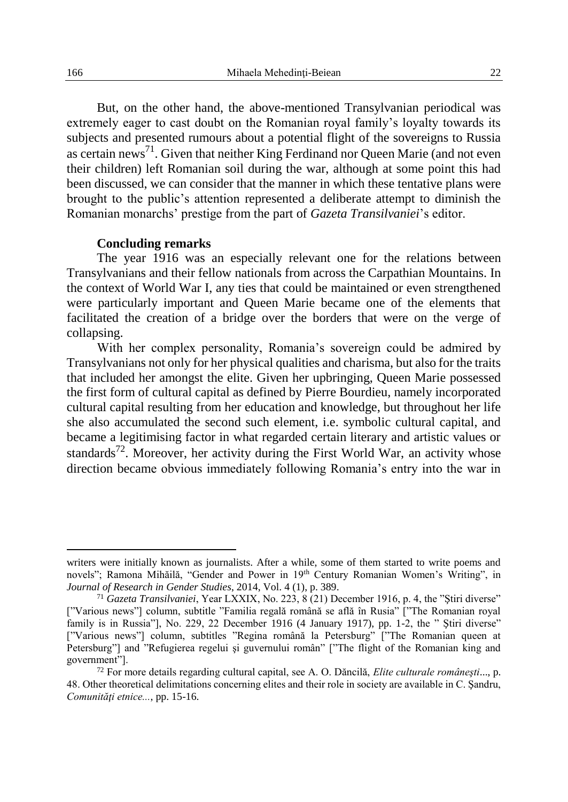But, on the other hand, the above-mentioned Transylvanian periodical was extremely eager to cast doubt on the Romanian royal family's loyalty towards its subjects and presented rumours about a potential flight of the sovereigns to Russia as certain news<sup>71</sup>. Given that neither King Ferdinand nor Queen Marie (and not even their children) left Romanian soil during the war, although at some point this had been discussed, we can consider that the manner in which these tentative plans were brought to the public's attention represented a deliberate attempt to diminish the Romanian monarchs' prestige from the part of *Gazeta Transilvaniei*'s editor.

#### **Concluding remarks**

The year 1916 was an especially relevant one for the relations between Transylvanians and their fellow nationals from across the Carpathian Mountains. In the context of World War I, any ties that could be maintained or even strengthened were particularly important and Queen Marie became one of the elements that facilitated the creation of a bridge over the borders that were on the verge of collapsing.

With her complex personality, Romania's sovereign could be admired by Transylvanians not only for her physical qualities and charisma, but also for the traits that included her amongst the elite. Given her upbringing, Queen Marie possessed the first form of cultural capital as defined by Pierre Bourdieu, namely incorporated cultural capital resulting from her education and knowledge, but throughout her life she also accumulated the second such element, i.e. symbolic cultural capital, and became a legitimising factor in what regarded certain literary and artistic values or standards<sup>72</sup>. Moreover, her activity during the First World War, an activity whose direction became obvious immediately following Romania's entry into the war in

writers were initially known as journalists. After a while, some of them started to write poems and novels"; Ramona Mihăilă, "Gender and Power in 19<sup>th</sup> Century Romanian Women's Writing", in *Journal of Research in Gender Studies*, 2014, Vol. 4 (1), p. 389.

<sup>71</sup> *Gazeta Transilvaniei*, Year LXXIX, No. 223, 8 (21) December 1916, p. 4, the "Ştiri diverse" ["Various news"] column, subtitle "Familia regală română se află în Rusia" ["The Romanian royal family is in Russia"], No. 229, 22 December 1916 (4 January 1917), pp. 1-2, the " Ştiri diverse" ["Various news"] column, subtitles "Regina română la Petersburg" ["The Romanian queen at Petersburg"] and "Refugierea regelui şi guvernului român" ["The flight of the Romanian king and government"].

<sup>72</sup> For more details regarding cultural capital, see A. O. Dăncilă, *Elite culturale româneşti*..., p. 48. Other theoretical delimitations concerning elites and their role in society are available in C. Şandru, *Comunităţi etnice...*, pp. 15-16.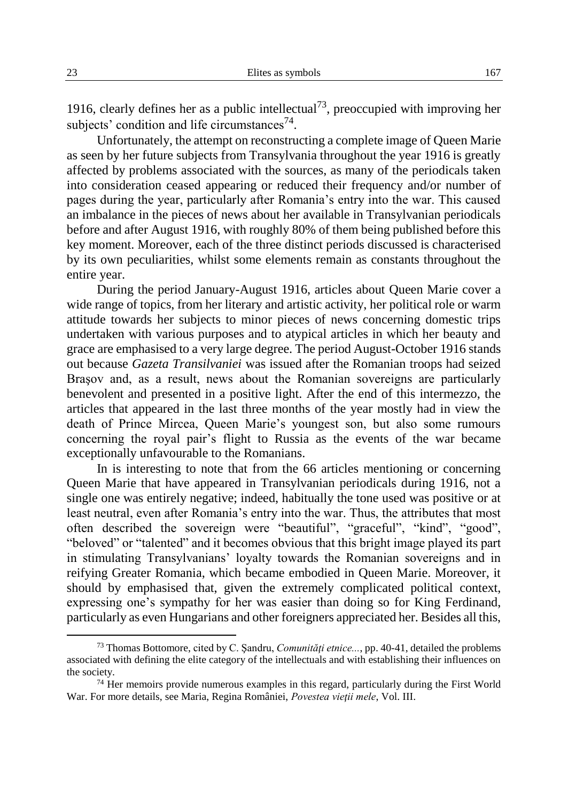1916, clearly defines her as a public intellectual<sup>73</sup>, preoccupied with improving her subjects' condition and life circumstances $^{74}$ .

Unfortunately, the attempt on reconstructing a complete image of Queen Marie as seen by her future subjects from Transylvania throughout the year 1916 is greatly affected by problems associated with the sources, as many of the periodicals taken into consideration ceased appearing or reduced their frequency and/or number of pages during the year, particularly after Romania's entry into the war. This caused an imbalance in the pieces of news about her available in Transylvanian periodicals before and after August 1916, with roughly 80% of them being published before this key moment. Moreover, each of the three distinct periods discussed is characterised by its own peculiarities, whilst some elements remain as constants throughout the entire year.

During the period January-August 1916, articles about Queen Marie cover a wide range of topics, from her literary and artistic activity, her political role or warm attitude towards her subjects to minor pieces of news concerning domestic trips undertaken with various purposes and to atypical articles in which her beauty and grace are emphasised to a very large degree. The period August-October 1916 stands out because *Gazeta Transilvaniei* was issued after the Romanian troops had seized Braşov and, as a result, news about the Romanian sovereigns are particularly benevolent and presented in a positive light. After the end of this intermezzo, the articles that appeared in the last three months of the year mostly had in view the death of Prince Mircea, Queen Marie's youngest son, but also some rumours concerning the royal pair's flight to Russia as the events of the war became exceptionally unfavourable to the Romanians.

In is interesting to note that from the 66 articles mentioning or concerning Queen Marie that have appeared in Transylvanian periodicals during 1916, not a single one was entirely negative; indeed, habitually the tone used was positive or at least neutral, even after Romania's entry into the war. Thus, the attributes that most often described the sovereign were "beautiful", "graceful", "kind", "good", "beloved" or "talented" and it becomes obvious that this bright image played its part in stimulating Transylvanians' loyalty towards the Romanian sovereigns and in reifying Greater Romania, which became embodied in Queen Marie. Moreover, it should by emphasised that, given the extremely complicated political context, expressing one's sympathy for her was easier than doing so for King Ferdinand, particularly as even Hungarians and other foreigners appreciated her. Besides all this,

<sup>73</sup> Thomas Bottomore, cited by C. Şandru, *Comunităţi etnice...*, pp. 40-41, detailed the problems associated with defining the elite category of the intellectuals and with establishing their influences on the society.

 $74$  Her memoirs provide numerous examples in this regard, particularly during the First World War. For more details, see Maria, Regina României, *Povestea vieţii mele*, Vol. III.